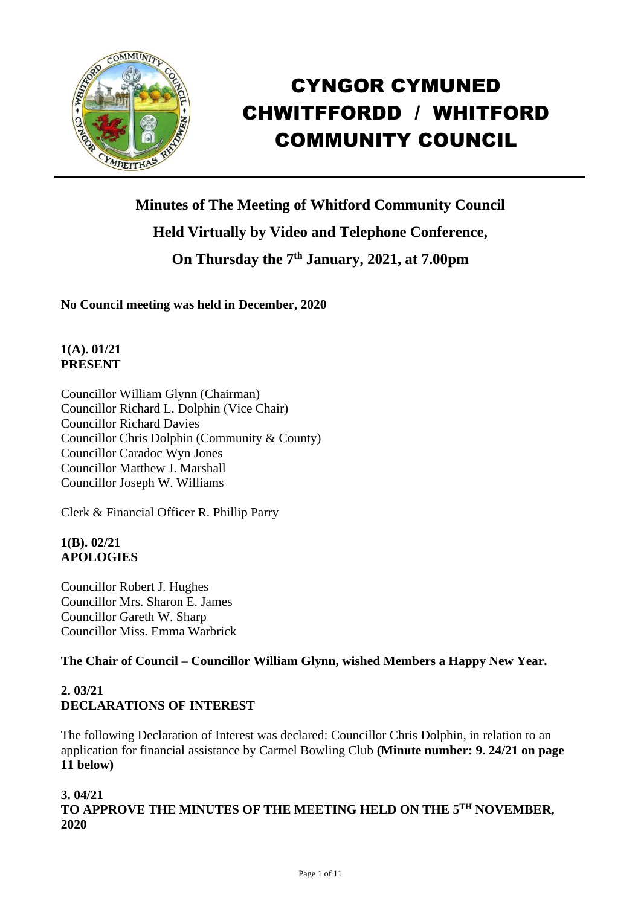

# CYNGOR CYMUNED CHWITFFORDD / WHITFORD COMMUNITY COUNCIL

**Minutes of The Meeting of Whitford Community Council**

**Held Virtually by Video and Telephone Conference,**

**On Thursday the 7 th January, 2021, at 7.00pm**

**No Council meeting was held in December, 2020**

**1(A). 01/21 PRESENT**

Councillor William Glynn (Chairman) Councillor Richard L. Dolphin (Vice Chair) Councillor Richard Davies Councillor Chris Dolphin (Community & County) Councillor Caradoc Wyn Jones Councillor Matthew J. Marshall Councillor Joseph W. Williams

Clerk & Financial Officer R. Phillip Parry

# **1(B). 02/21 APOLOGIES**

Councillor Robert J. Hughes Councillor Mrs. Sharon E. James Councillor Gareth W. Sharp Councillor Miss. Emma Warbrick

**The Chair of Council – Councillor William Glynn, wished Members a Happy New Year.**

# **2. 03/21 DECLARATIONS OF INTEREST**

The following Declaration of Interest was declared: Councillor Chris Dolphin, in relation to an application for financial assistance by Carmel Bowling Club **(Minute number: 9. 24/21 on page 11 below)**

**3. 04/21 TO APPROVE THE MINUTES OF THE MEETING HELD ON THE 5 TH NOVEMBER, 2020**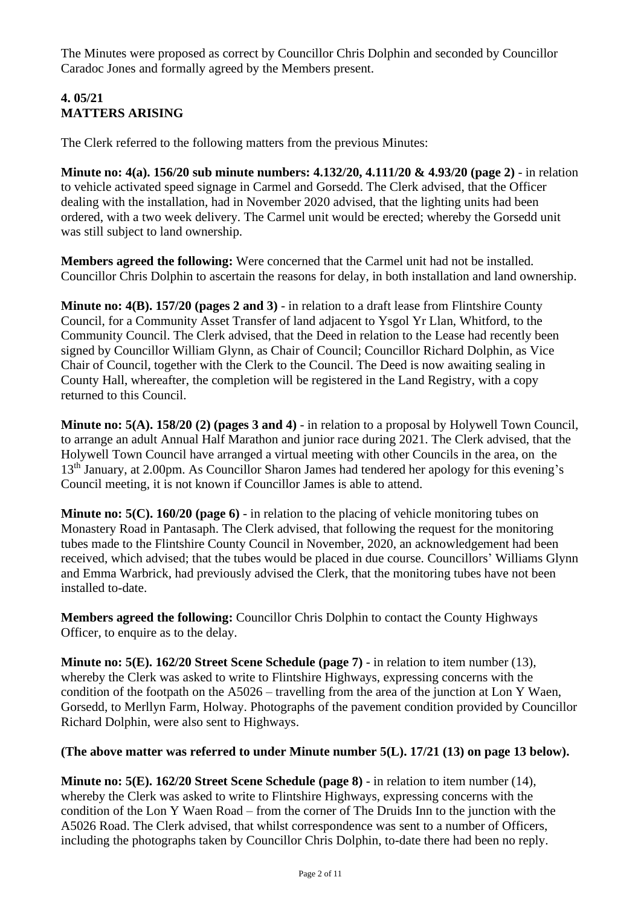The Minutes were proposed as correct by Councillor Chris Dolphin and seconded by Councillor Caradoc Jones and formally agreed by the Members present.

# **4. 05/21 MATTERS ARISING**

The Clerk referred to the following matters from the previous Minutes:

**Minute no: 4(a). 156/20 sub minute numbers: 4.132/20, 4.111/20 & 4.93/20 (page 2)** - in relation to vehicle activated speed signage in Carmel and Gorsedd. The Clerk advised, that the Officer dealing with the installation, had in November 2020 advised, that the lighting units had been ordered, with a two week delivery. The Carmel unit would be erected; whereby the Gorsedd unit was still subject to land ownership.

**Members agreed the following:** Were concerned that the Carmel unit had not be installed. Councillor Chris Dolphin to ascertain the reasons for delay, in both installation and land ownership.

**Minute no: 4(B). 157/20 (pages 2 and 3)** - in relation to a draft lease from Flintshire County Council, for a Community Asset Transfer of land adjacent to Ysgol Yr Llan, Whitford, to the Community Council. The Clerk advised, that the Deed in relation to the Lease had recently been signed by Councillor William Glynn, as Chair of Council; Councillor Richard Dolphin, as Vice Chair of Council, together with the Clerk to the Council. The Deed is now awaiting sealing in County Hall, whereafter, the completion will be registered in the Land Registry, with a copy returned to this Council.

**Minute no: 5(A). 158/20 (2) (pages 3 and 4)** - in relation to a proposal by Holywell Town Council, to arrange an adult Annual Half Marathon and junior race during 2021. The Clerk advised, that the Holywell Town Council have arranged a virtual meeting with other Councils in the area, on the 13th January, at 2.00pm. As Councillor Sharon James had tendered her apology for this evening's Council meeting, it is not known if Councillor James is able to attend.

**Minute no: 5(C). 160/20 (page 6)** - in relation to the placing of vehicle monitoring tubes on Monastery Road in Pantasaph. The Clerk advised, that following the request for the monitoring tubes made to the Flintshire County Council in November, 2020, an acknowledgement had been received, which advised; that the tubes would be placed in due course. Councillors' Williams Glynn and Emma Warbrick, had previously advised the Clerk, that the monitoring tubes have not been installed to-date.

**Members agreed the following:** Councillor Chris Dolphin to contact the County Highways Officer, to enquire as to the delay.

**Minute no: 5(E). 162/20 Street Scene Schedule (page 7)** - in relation to item number (13), whereby the Clerk was asked to write to Flintshire Highways, expressing concerns with the condition of the footpath on the A5026 – travelling from the area of the junction at Lon Y Waen, Gorsedd, to Merllyn Farm, Holway. Photographs of the pavement condition provided by Councillor Richard Dolphin, were also sent to Highways.

# **(The above matter was referred to under Minute number 5(L). 17/21 (13) on page 13 below).**

**Minute no: 5(E). 162/20 Street Scene Schedule (page 8)** - in relation to item number (14), whereby the Clerk was asked to write to Flintshire Highways, expressing concerns with the condition of the Lon Y Waen Road – from the corner of The Druids Inn to the junction with the A5026 Road. The Clerk advised, that whilst correspondence was sent to a number of Officers, including the photographs taken by Councillor Chris Dolphin, to-date there had been no reply.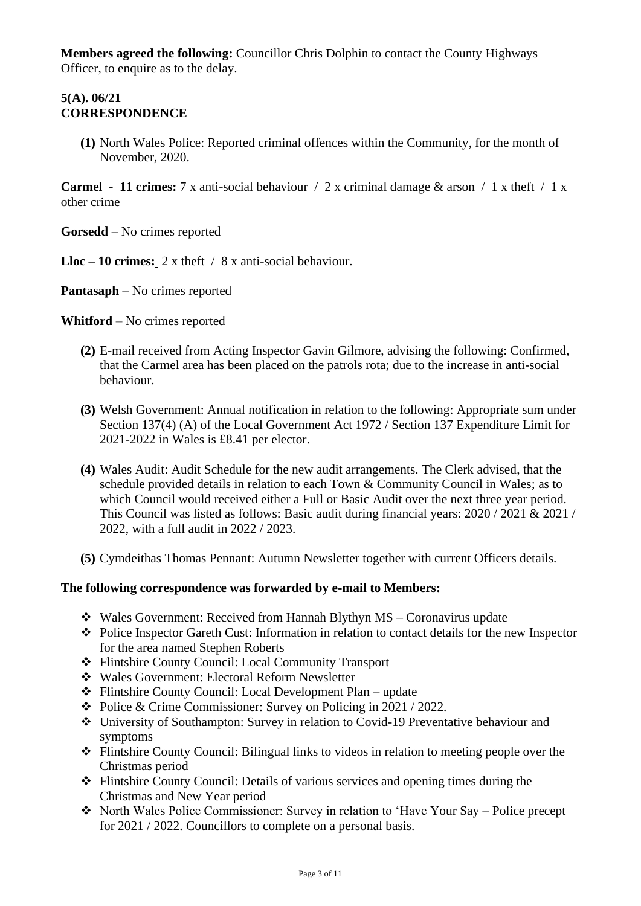**Members agreed the following:** Councillor Chris Dolphin to contact the County Highways Officer, to enquire as to the delay.

# **5(A). 06/21 CORRESPONDENCE**

**(1)** North Wales Police: Reported criminal offences within the Community, for the month of November, 2020.

**Carmel - 11 crimes:** 7 x anti-social behaviour / 2 x criminal damage & arson / 1 x theft / 1 x other crime

**Gorsedd** – No crimes reported

**Lloc – 10 crimes:** 2 x theft / 8 x anti-social behaviour.

**Pantasaph** – No crimes reported

**Whitford** – No crimes reported

- **(2)** E-mail received from Acting Inspector Gavin Gilmore, advising the following: Confirmed, that the Carmel area has been placed on the patrols rota; due to the increase in anti-social behaviour.
- **(3)** Welsh Government: Annual notification in relation to the following: Appropriate sum under Section 137(4) (A) of the Local Government Act 1972 / Section 137 Expenditure Limit for 2021-2022 in Wales is £8.41 per elector.
- **(4)** Wales Audit: Audit Schedule for the new audit arrangements. The Clerk advised, that the schedule provided details in relation to each Town & Community Council in Wales; as to which Council would received either a Full or Basic Audit over the next three year period. This Council was listed as follows: Basic audit during financial years: 2020 / 2021 & 2021 / 2022, with a full audit in 2022 / 2023.
- **(5)** Cymdeithas Thomas Pennant: Autumn Newsletter together with current Officers details.

#### **The following correspondence was forwarded by e-mail to Members:**

- ❖ Wales Government: Received from Hannah Blythyn MS Coronavirus update
- ❖ Police Inspector Gareth Cust: Information in relation to contact details for the new Inspector for the area named Stephen Roberts
- ❖ Flintshire County Council: Local Community Transport
- ❖ Wales Government: Electoral Reform Newsletter
- ❖ Flintshire County Council: Local Development Plan update
- ❖ Police & Crime Commissioner: Survey on Policing in 2021 / 2022.
- ❖ University of Southampton: Survey in relation to Covid-19 Preventative behaviour and symptoms
- ❖ Flintshire County Council: Bilingual links to videos in relation to meeting people over the Christmas period
- ❖ Flintshire County Council: Details of various services and opening times during the Christmas and New Year period
- ❖ North Wales Police Commissioner: Survey in relation to 'Have Your Say Police precept for 2021 / 2022. Councillors to complete on a personal basis.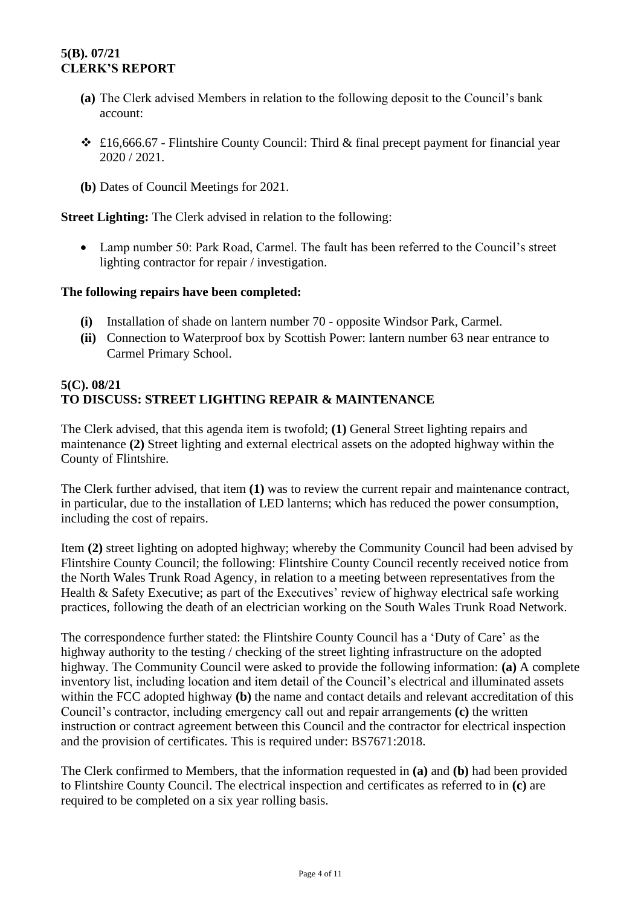# **5(B). 07/21 CLERK'S REPORT**

- **(a)** The Clerk advised Members in relation to the following deposit to the Council's bank account:
- ❖ £16,666.67 Flintshire County Council: Third & final precept payment for financial year 2020 / 2021.
- **(b)** Dates of Council Meetings for 2021.

**Street Lighting:** The Clerk advised in relation to the following:

• Lamp number 50: Park Road, Carmel. The fault has been referred to the Council's street lighting contractor for repair / investigation.

### **The following repairs have been completed:**

- **(i)** Installation of shade on lantern number 70 opposite Windsor Park, Carmel.
- **(ii)** Connection to Waterproof box by Scottish Power: lantern number 63 near entrance to Carmel Primary School.

# **5(C). 08/21 TO DISCUSS: STREET LIGHTING REPAIR & MAINTENANCE**

The Clerk advised, that this agenda item is twofold; **(1)** General Street lighting repairs and maintenance **(2)** Street lighting and external electrical assets on the adopted highway within the County of Flintshire.

The Clerk further advised, that item **(1)** was to review the current repair and maintenance contract, in particular, due to the installation of LED lanterns; which has reduced the power consumption, including the cost of repairs.

Item **(2)** street lighting on adopted highway; whereby the Community Council had been advised by Flintshire County Council; the following: Flintshire County Council recently received notice from the North Wales Trunk Road Agency, in relation to a meeting between representatives from the Health & Safety Executive; as part of the Executives' review of highway electrical safe working practices, following the death of an electrician working on the South Wales Trunk Road Network.

The correspondence further stated: the Flintshire County Council has a 'Duty of Care' as the highway authority to the testing / checking of the street lighting infrastructure on the adopted highway. The Community Council were asked to provide the following information: **(a)** A complete inventory list, including location and item detail of the Council's electrical and illuminated assets within the FCC adopted highway **(b)** the name and contact details and relevant accreditation of this Council's contractor, including emergency call out and repair arrangements **(c)** the written instruction or contract agreement between this Council and the contractor for electrical inspection and the provision of certificates. This is required under: BS7671:2018.

The Clerk confirmed to Members, that the information requested in **(a)** and **(b)** had been provided to Flintshire County Council. The electrical inspection and certificates as referred to in **(c)** are required to be completed on a six year rolling basis.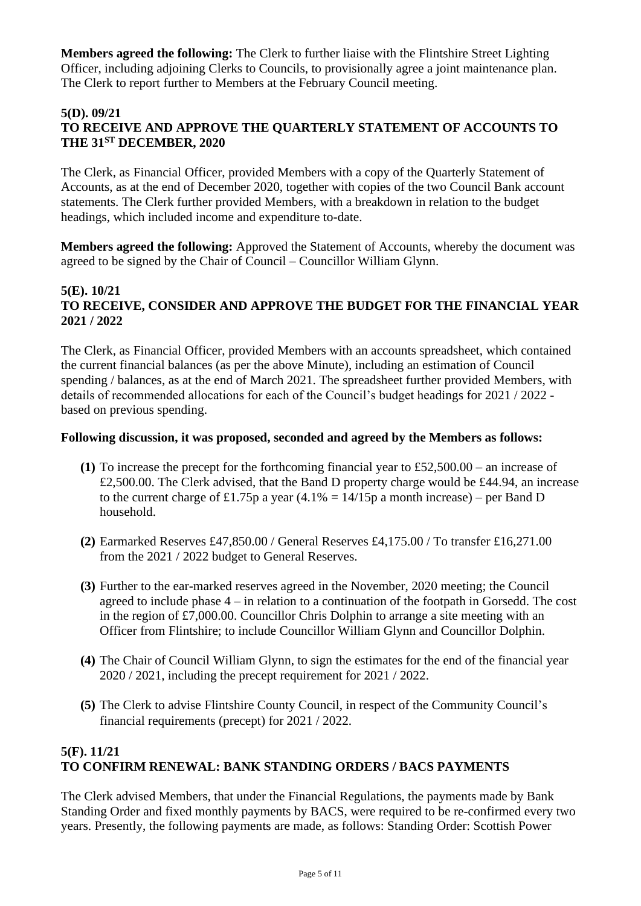**Members agreed the following:** The Clerk to further liaise with the Flintshire Street Lighting Officer, including adjoining Clerks to Councils, to provisionally agree a joint maintenance plan. The Clerk to report further to Members at the February Council meeting.

# **5(D). 09/21**

# **TO RECEIVE AND APPROVE THE QUARTERLY STATEMENT OF ACCOUNTS TO THE 31ST DECEMBER, 2020**

The Clerk, as Financial Officer, provided Members with a copy of the Quarterly Statement of Accounts, as at the end of December 2020, together with copies of the two Council Bank account statements. The Clerk further provided Members, with a breakdown in relation to the budget headings, which included income and expenditure to-date.

**Members agreed the following:** Approved the Statement of Accounts, whereby the document was agreed to be signed by the Chair of Council – Councillor William Glynn.

# **5(E). 10/21 TO RECEIVE, CONSIDER AND APPROVE THE BUDGET FOR THE FINANCIAL YEAR 2021 / 2022**

The Clerk, as Financial Officer, provided Members with an accounts spreadsheet, which contained the current financial balances (as per the above Minute), including an estimation of Council spending / balances, as at the end of March 2021. The spreadsheet further provided Members, with details of recommended allocations for each of the Council's budget headings for 2021 / 2022 based on previous spending.

### **Following discussion, it was proposed, seconded and agreed by the Members as follows:**

- **(1)** To increase the precept for the forthcoming financial year to £52,500.00 an increase of £2,500.00. The Clerk advised, that the Band D property charge would be £44.94, an increase to the current charge of £1.75p a year  $(4.1\% = 14/15p$  a month increase) – per Band D household.
- **(2)** Earmarked Reserves £47,850.00 / General Reserves £4,175.00 / To transfer £16,271.00 from the 2021 / 2022 budget to General Reserves.
- **(3)** Further to the ear-marked reserves agreed in the November, 2020 meeting; the Council agreed to include phase 4 – in relation to a continuation of the footpath in Gorsedd. The cost in the region of £7,000.00. Councillor Chris Dolphin to arrange a site meeting with an Officer from Flintshire; to include Councillor William Glynn and Councillor Dolphin.
- **(4)** The Chair of Council William Glynn, to sign the estimates for the end of the financial year 2020 / 2021, including the precept requirement for 2021 / 2022.
- **(5)** The Clerk to advise Flintshire County Council, in respect of the Community Council's financial requirements (precept) for 2021 / 2022.

# **5(F). 11/21 TO CONFIRM RENEWAL: BANK STANDING ORDERS / BACS PAYMENTS**

The Clerk advised Members, that under the Financial Regulations, the payments made by Bank Standing Order and fixed monthly payments by BACS, were required to be re-confirmed every two years. Presently, the following payments are made, as follows: Standing Order: Scottish Power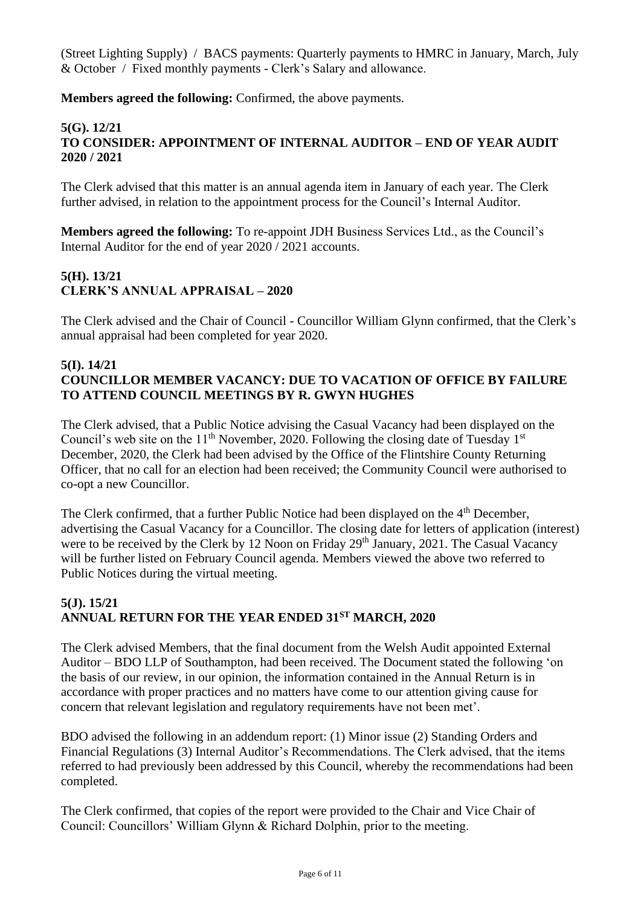(Street Lighting Supply) / BACS payments: Quarterly payments to HMRC in January, March, July & October / Fixed monthly payments - Clerk's Salary and allowance.

**Members agreed the following:** Confirmed, the above payments.

# **5(G). 12/21 TO CONSIDER: APPOINTMENT OF INTERNAL AUDITOR – END OF YEAR AUDIT 2020 / 2021**

The Clerk advised that this matter is an annual agenda item in January of each year. The Clerk further advised, in relation to the appointment process for the Council's Internal Auditor.

**Members agreed the following:** To re-appoint JDH Business Services Ltd., as the Council's Internal Auditor for the end of year 2020 / 2021 accounts.

# **5(H). 13/21 CLERK'S ANNUAL APPRAISAL – 2020**

The Clerk advised and the Chair of Council - Councillor William Glynn confirmed, that the Clerk's annual appraisal had been completed for year 2020.

#### **5(I). 14/21 COUNCILLOR MEMBER VACANCY: DUE TO VACATION OF OFFICE BY FAILURE TO ATTEND COUNCIL MEETINGS BY R. GWYN HUGHES**

The Clerk advised, that a Public Notice advising the Casual Vacancy had been displayed on the Council's web site on the  $11<sup>th</sup>$  November, 2020. Following the closing date of Tuesday  $1<sup>st</sup>$ December, 2020, the Clerk had been advised by the Office of the Flintshire County Returning Officer, that no call for an election had been received; the Community Council were authorised to co-opt a new Councillor.

The Clerk confirmed, that a further Public Notice had been displayed on the 4<sup>th</sup> December, advertising the Casual Vacancy for a Councillor. The closing date for letters of application (interest) were to be received by the Clerk by 12 Noon on Friday 29<sup>th</sup> January, 2021. The Casual Vacancy will be further listed on February Council agenda. Members viewed the above two referred to Public Notices during the virtual meeting.

# **5(J). 15/21 ANNUAL RETURN FOR THE YEAR ENDED 31ST MARCH, 2020**

The Clerk advised Members, that the final document from the Welsh Audit appointed External Auditor – BDO LLP of Southampton, had been received. The Document stated the following 'on the basis of our review, in our opinion, the information contained in the Annual Return is in accordance with proper practices and no matters have come to our attention giving cause for concern that relevant legislation and regulatory requirements have not been met'.

BDO advised the following in an addendum report: (1) Minor issue (2) Standing Orders and Financial Regulations (3) Internal Auditor's Recommendations. The Clerk advised, that the items referred to had previously been addressed by this Council, whereby the recommendations had been completed.

The Clerk confirmed, that copies of the report were provided to the Chair and Vice Chair of Council: Councillors' William Glynn & Richard Dolphin, prior to the meeting.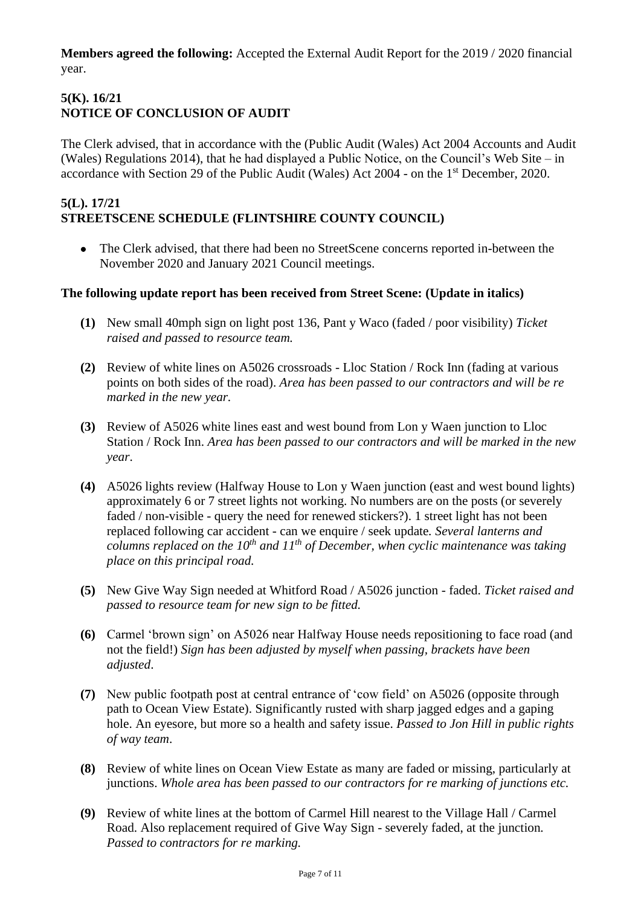**Members agreed the following:** Accepted the External Audit Report for the 2019 / 2020 financial year.

# **5(K). 16/21 NOTICE OF CONCLUSION OF AUDIT**

The Clerk advised, that in accordance with the (Public Audit (Wales) Act 2004 Accounts and Audit (Wales) Regulations 2014), that he had displayed a Public Notice, on the Council's Web Site – in accordance with Section 29 of the Public Audit (Wales) Act 2004 - on the 1<sup>st</sup> December, 2020.

# **5(L). 17/21 STREETSCENE SCHEDULE (FLINTSHIRE COUNTY COUNCIL)**

• The Clerk advised, that there had been no StreetScene concerns reported in-between the November 2020 and January 2021 Council meetings.

# **The following update report has been received from Street Scene: (Update in italics)**

- **(1)** New small 40mph sign on light post 136, Pant y Waco (faded / poor visibility) *Ticket raised and passed to resource team.*
- **(2)** Review of white lines on A5026 crossroads Lloc Station / Rock Inn (fading at various points on both sides of the road). *Area has been passed to our contractors and will be re marked in the new year.*
- **(3)** Review of A5026 white lines east and west bound from Lon y Waen junction to Lloc Station / Rock Inn. *Area has been passed to our contractors and will be marked in the new year*.
- **(4)** A5026 lights review (Halfway House to Lon y Waen junction (east and west bound lights) approximately 6 or 7 street lights not working. No numbers are on the posts (or severely faded / non-visible - query the need for renewed stickers?). 1 street light has not been replaced following car accident - can we enquire / seek update*. Several lanterns and columns replaced on the 10th and 11th of December, when cyclic maintenance was taking place on this principal road.*
- **(5)** New Give Way Sign needed at Whitford Road / A5026 junction faded. *Ticket raised and passed to resource team for new sign to be fitted.*
- **(6)** Carmel 'brown sign' on A5026 near Halfway House needs repositioning to face road (and not the field!) *Sign has been adjusted by myself when passing, brackets have been adjusted*.
- **(7)** New public footpath post at central entrance of 'cow field' on A5026 (opposite through path to Ocean View Estate). Significantly rusted with sharp jagged edges and a gaping hole. An eyesore, but more so a health and safety issue. *Passed to Jon Hill in public rights of way team*.
- **(8)** Review of white lines on Ocean View Estate as many are faded or missing, particularly at junctions. *Whole area has been passed to our contractors for re marking of junctions etc.*
- **(9)** Review of white lines at the bottom of Carmel Hill nearest to the Village Hall / Carmel Road. Also replacement required of Give Way Sign - severely faded, at the junction*. Passed to contractors for re marking.*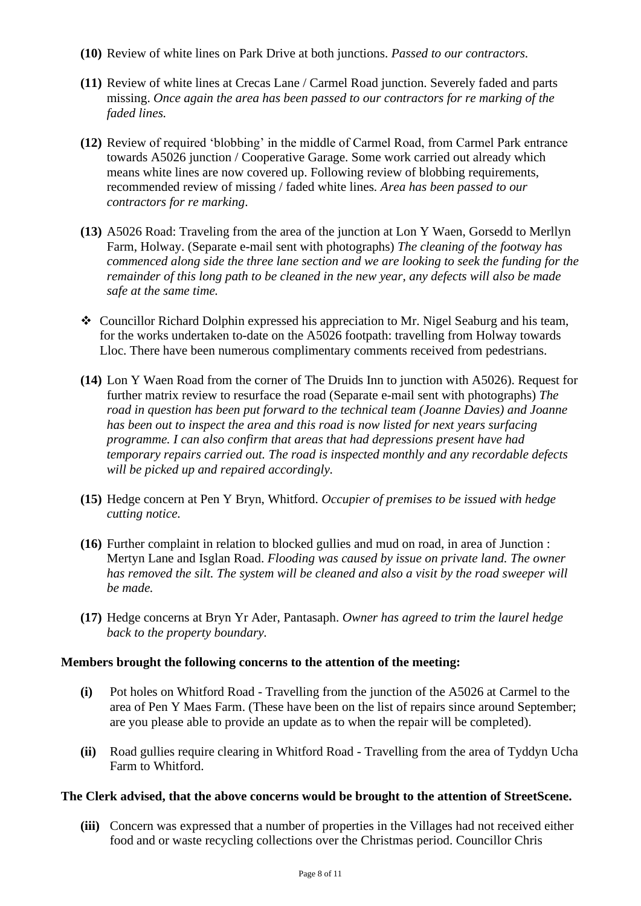- **(10)** Review of white lines on Park Drive at both junctions. *Passed to our contractors.*
- **(11)** Review of white lines at Crecas Lane / Carmel Road junction. Severely faded and parts missing. *Once again the area has been passed to our contractors for re marking of the faded lines.*
- **(12)** Review of required 'blobbing' in the middle of Carmel Road, from Carmel Park entrance towards A5026 junction / Cooperative Garage. Some work carried out already which means white lines are now covered up. Following review of blobbing requirements, recommended review of missing / faded white lines*. Area has been passed to our contractors for re marking*.
- **(13)** A5026 Road: Traveling from the area of the junction at Lon Y Waen, Gorsedd to Merllyn Farm, Holway. (Separate e-mail sent with photographs) *The cleaning of the footway has commenced along side the three lane section and we are looking to seek the funding for the remainder of this long path to be cleaned in the new year, any defects will also be made safe at the same time.*
- ❖ Councillor Richard Dolphin expressed his appreciation to Mr. Nigel Seaburg and his team, for the works undertaken to-date on the A5026 footpath: travelling from Holway towards Lloc. There have been numerous complimentary comments received from pedestrians.
- **(14)** Lon Y Waen Road from the corner of The Druids Inn to junction with A5026). Request for further matrix review to resurface the road (Separate e-mail sent with photographs) *The road in question has been put forward to the technical team (Joanne Davies) and Joanne has been out to inspect the area and this road is now listed for next years surfacing programme. I can also confirm that areas that had depressions present have had temporary repairs carried out. The road is inspected monthly and any recordable defects will be picked up and repaired accordingly.*
- **(15)** Hedge concern at Pen Y Bryn, Whitford. *Occupier of premises to be issued with hedge cutting notice.*
- **(16)** Further complaint in relation to blocked gullies and mud on road, in area of Junction : Mertyn Lane and Isglan Road. *Flooding was caused by issue on private land. The owner has removed the silt. The system will be cleaned and also a visit by the road sweeper will be made.*
- **(17)** Hedge concerns at Bryn Yr Ader, Pantasaph. *Owner has agreed to trim the laurel hedge back to the property boundary.*

# **Members brought the following concerns to the attention of the meeting:**

- **(i)** Pot holes on Whitford Road Travelling from the junction of the A5026 at Carmel to the area of Pen Y Maes Farm. (These have been on the list of repairs since around September; are you please able to provide an update as to when the repair will be completed).
- **(ii)** Road gullies require clearing in Whitford Road Travelling from the area of Tyddyn Ucha Farm to Whitford.

#### **The Clerk advised, that the above concerns would be brought to the attention of StreetScene.**

**(iii)** Concern was expressed that a number of properties in the Villages had not received either food and or waste recycling collections over the Christmas period. Councillor Chris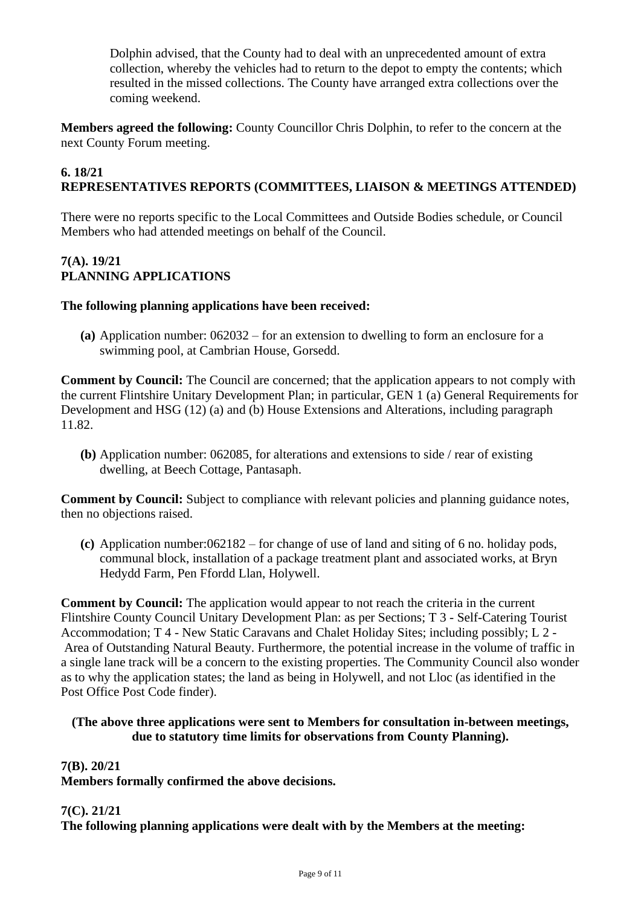Dolphin advised, that the County had to deal with an unprecedented amount of extra collection, whereby the vehicles had to return to the depot to empty the contents; which resulted in the missed collections. The County have arranged extra collections over the coming weekend.

**Members agreed the following:** County Councillor Chris Dolphin, to refer to the concern at the next County Forum meeting.

# **6. 18/21 REPRESENTATIVES REPORTS (COMMITTEES, LIAISON & MEETINGS ATTENDED)**

There were no reports specific to the Local Committees and Outside Bodies schedule, or Council Members who had attended meetings on behalf of the Council.

# **7(A). 19/21 PLANNING APPLICATIONS**

### **The following planning applications have been received:**

**(a)** Application number: 062032 – for an extension to dwelling to form an enclosure for a swimming pool, at Cambrian House, Gorsedd.

**Comment by Council:** The Council are concerned; that the application appears to not comply with the current Flintshire Unitary Development Plan; in particular, GEN 1 (a) General Requirements for Development and HSG (12) (a) and (b) House Extensions and Alterations, including paragraph 11.82.

**(b)** Application number: 062085, for alterations and extensions to side / rear of existing dwelling, at Beech Cottage, Pantasaph.

**Comment by Council:** Subject to compliance with relevant policies and planning guidance notes, then no objections raised.

**(c)** Application number:062182 – for change of use of land and siting of 6 no. holiday pods, communal block, installation of a package treatment plant and associated works, at Bryn Hedydd Farm, Pen Ffordd Llan, Holywell.

**Comment by Council:** The application would appear to not reach the criteria in the current Flintshire County Council Unitary Development Plan: as per Sections; T 3 - Self-Catering Tourist Accommodation; T 4 - New Static Caravans and Chalet Holiday Sites; including possibly; L 2 - Area of Outstanding Natural Beauty. Furthermore, the potential increase in the volume of traffic in a single lane track will be a concern to the existing properties. The Community Council also wonder as to why the application states; the land as being in Holywell, and not Lloc (as identified in the Post Office Post Code finder).

### **(The above three applications were sent to Members for consultation in-between meetings, due to statutory time limits for observations from County Planning).**

### **7(B). 20/21 Members formally confirmed the above decisions.**

# **7(C). 21/21**

**The following planning applications were dealt with by the Members at the meeting:**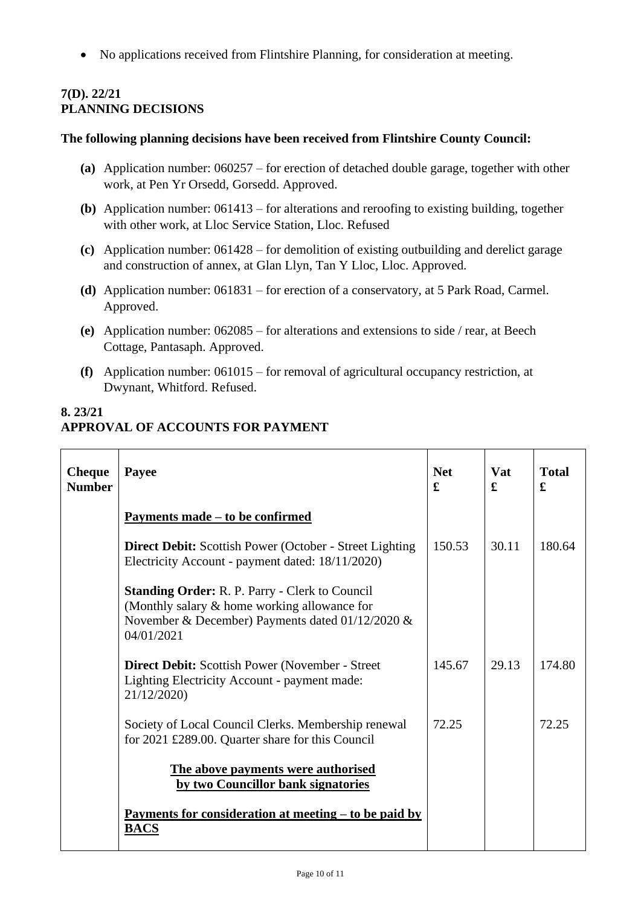• No applications received from Flintshire Planning, for consideration at meeting.

# **7(D). 22/21 PLANNING DECISIONS**

## **The following planning decisions have been received from Flintshire County Council:**

- **(a)** Application number: 060257 for erection of detached double garage, together with other work, at Pen Yr Orsedd, Gorsedd. Approved.
- **(b)** Application number: 061413 for alterations and reroofing to existing building, together with other work, at Lloc Service Station, Lloc. Refused
- **(c)** Application number: 061428 for demolition of existing outbuilding and derelict garage and construction of annex, at Glan Llyn, Tan Y Lloc, Lloc. Approved.
- **(d)** Application number: 061831 for erection of a conservatory, at 5 Park Road, Carmel. Approved.
- **(e)** Application number: 062085 for alterations and extensions to side / rear, at Beech Cottage, Pantasaph. Approved.
- **(f)** Application number: 061015 for removal of agricultural occupancy restriction, at Dwynant, Whitford. Refused.

| <b>Cheque</b><br><b>Number</b> | Payee                                                                                                                                                                   | <b>Net</b><br>£ | Vat<br>£ | <b>Total</b><br>£ |
|--------------------------------|-------------------------------------------------------------------------------------------------------------------------------------------------------------------------|-----------------|----------|-------------------|
|                                | <u>Payments made – to be confirmed</u>                                                                                                                                  |                 |          |                   |
|                                | <b>Direct Debit:</b> Scottish Power (October - Street Lighting<br>Electricity Account - payment dated: 18/11/2020)                                                      | 150.53          | 30.11    | 180.64            |
|                                | <b>Standing Order: R. P. Parry - Clerk to Council</b><br>(Monthly salary & home working allowance for<br>November & December) Payments dated 01/12/2020 &<br>04/01/2021 |                 |          |                   |
|                                | <b>Direct Debit:</b> Scottish Power (November - Street)<br>Lighting Electricity Account - payment made:<br>21/12/2020)                                                  | 145.67          | 29.13    | 174.80            |
|                                | Society of Local Council Clerks. Membership renewal<br>for 2021 £289.00. Quarter share for this Council                                                                 | 72.25           |          | 72.25             |
|                                | The above payments were authorised<br>by two Councillor bank signatories                                                                                                |                 |          |                   |
|                                | <u>Payments for consideration at meeting – to be paid by</u><br><b>BACS</b>                                                                                             |                 |          |                   |

# **8. 23/21 APPROVAL OF ACCOUNTS FOR PAYMENT**